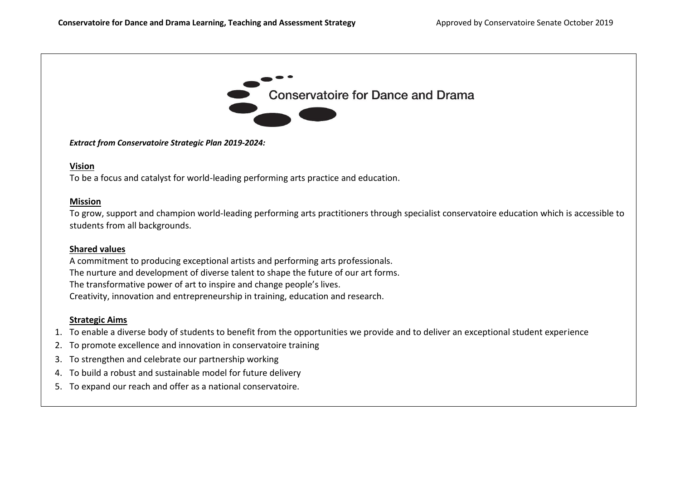

*Extract from Conservatoire Strategic Plan 2019-2024:*

#### **Vision**

To be a focus and catalyst for world-leading performing arts practice and education.

#### **Mission**

To grow, support and champion world-leading performing arts practitioners through specialist conservatoire education which is accessible to students from all backgrounds.

### **Shared values**

A commitment to producing exceptional artists and performing arts professionals. The nurture and development of diverse talent to shape the future of our art forms. The transformative power of art to inspire and change people's lives. Creativity, innovation and entrepreneurship in training, education and research.

### **Strategic Aims**

- 1. To enable a diverse body of students to benefit from the opportunities we provide and to deliver an exceptional student experience
- 2. To promote excellence and innovation in conservatoire training
- 3. To strengthen and celebrate our partnership working
- 4. To build a robust and sustainable model for future delivery
- 5. To expand our reach and offer as a national conservatoire.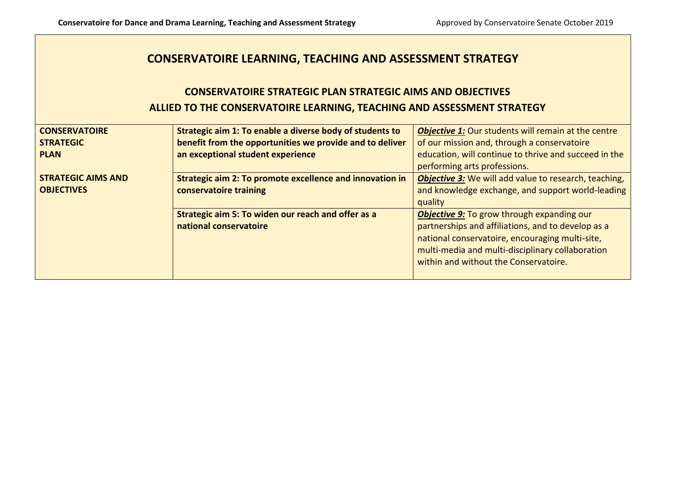## **CONSERVATOIRE LEARNING, TEACHING AND ASSESSMENT STRATEGY**

# **CONSERVATOIRE STRATEGIC PLAN STRATEGIC AIMS AND OBJECTIVES ALLIED TO THE CONSERVATOIRE LEARNING, TEACHING AND ASSESSMENT STRATEGY**

| <b>CONSERVATOIRE</b>      | Strategic aim 1: To enable a diverse body of students to | <b>Objective 1:</b> Our students will remain at the centre   |
|---------------------------|----------------------------------------------------------|--------------------------------------------------------------|
| <b>STRATEGIC</b>          | benefit from the opportunities we provide and to deliver | of our mission and, through a conservatoire                  |
| <b>PLAN</b>               | an exceptional student experience                        | education, will continue to thrive and succeed in the        |
|                           |                                                          | performing arts professions.                                 |
| <b>STRATEGIC AIMS AND</b> | Strategic aim 2: To promote excellence and innovation in | <b>Objective 3:</b> We will add value to research, teaching, |
| <b>OBJECTIVES</b>         | conservatoire training                                   | and knowledge exchange, and support world-leading            |
|                           |                                                          | quality                                                      |
|                           | Strategic aim 5: To widen our reach and offer as a       | <b>Objective 9: To grow through expanding our</b>            |
|                           | national conservatoire                                   | partnerships and affiliations, and to develop as a           |
|                           |                                                          | national conservatoire, encouraging multi-site,              |
|                           |                                                          | multi-media and multi-disciplinary collaboration             |
|                           |                                                          | within and without the Conservatoire.                        |
|                           |                                                          |                                                              |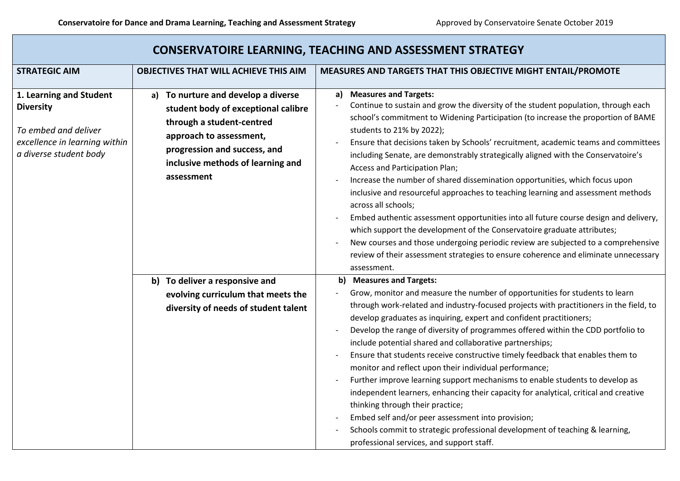| <b>CONSERVATOIRE LEARNING, TEACHING AND ASSESSMENT STRATEGY</b>                                                                |                                                                                                                                                                                                                       |                                                                                                                                                                                                                                                                                                                                                                                                                                                                                                                                                                                                                                                                                                                                                                                                                                                                                                                                                                                                                 |  |  |
|--------------------------------------------------------------------------------------------------------------------------------|-----------------------------------------------------------------------------------------------------------------------------------------------------------------------------------------------------------------------|-----------------------------------------------------------------------------------------------------------------------------------------------------------------------------------------------------------------------------------------------------------------------------------------------------------------------------------------------------------------------------------------------------------------------------------------------------------------------------------------------------------------------------------------------------------------------------------------------------------------------------------------------------------------------------------------------------------------------------------------------------------------------------------------------------------------------------------------------------------------------------------------------------------------------------------------------------------------------------------------------------------------|--|--|
| <b>STRATEGIC AIM</b>                                                                                                           | <b>OBJECTIVES THAT WILL ACHIEVE THIS AIM</b>                                                                                                                                                                          | MEASURES AND TARGETS THAT THIS OBJECTIVE MIGHT ENTAIL/PROMOTE                                                                                                                                                                                                                                                                                                                                                                                                                                                                                                                                                                                                                                                                                                                                                                                                                                                                                                                                                   |  |  |
| 1. Learning and Student<br><b>Diversity</b><br>To embed and deliver<br>excellence in learning within<br>a diverse student body | a) To nurture and develop a diverse<br>student body of exceptional calibre<br>through a student-centred<br>approach to assessment,<br>progression and success, and<br>inclusive methods of learning and<br>assessment | <b>Measures and Targets:</b><br>a)<br>Continue to sustain and grow the diversity of the student population, through each<br>school's commitment to Widening Participation (to increase the proportion of BAME<br>students to 21% by 2022);<br>Ensure that decisions taken by Schools' recruitment, academic teams and committees<br>including Senate, are demonstrably strategically aligned with the Conservatoire's<br>Access and Participation Plan;<br>Increase the number of shared dissemination opportunities, which focus upon<br>inclusive and resourceful approaches to teaching learning and assessment methods<br>across all schools;<br>Embed authentic assessment opportunities into all future course design and delivery,<br>which support the development of the Conservatoire graduate attributes;<br>New courses and those undergoing periodic review are subjected to a comprehensive<br>review of their assessment strategies to ensure coherence and eliminate unnecessary<br>assessment. |  |  |
|                                                                                                                                | b) To deliver a responsive and<br>evolving curriculum that meets the<br>diversity of needs of student talent                                                                                                          | b) Measures and Targets:<br>Grow, monitor and measure the number of opportunities for students to learn<br>through work-related and industry-focused projects with practitioners in the field, to<br>develop graduates as inquiring, expert and confident practitioners;<br>Develop the range of diversity of programmes offered within the CDD portfolio to<br>include potential shared and collaborative partnerships;<br>Ensure that students receive constructive timely feedback that enables them to<br>monitor and reflect upon their individual performance;<br>Further improve learning support mechanisms to enable students to develop as<br>independent learners, enhancing their capacity for analytical, critical and creative<br>thinking through their practice;<br>Embed self and/or peer assessment into provision;<br>Schools commit to strategic professional development of teaching & learning,<br>professional services, and support staff.                                              |  |  |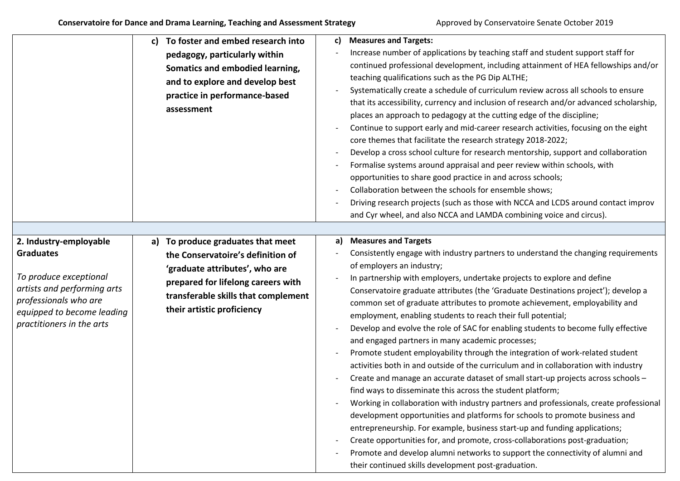|                                                                                                                                                                                         | To foster and embed research into<br>C)<br>pedagogy, particularly within<br>Somatics and embodied learning,<br>and to explore and develop best<br>practice in performance-based<br>assessment                       | <b>Measures and Targets:</b><br>C)<br>Increase number of applications by teaching staff and student support staff for<br>continued professional development, including attainment of HEA fellowships and/or<br>teaching qualifications such as the PG Dip ALTHE;<br>Systematically create a schedule of curriculum review across all schools to ensure<br>that its accessibility, currency and inclusion of research and/or advanced scholarship,<br>places an approach to pedagogy at the cutting edge of the discipline;<br>Continue to support early and mid-career research activities, focusing on the eight<br>core themes that facilitate the research strategy 2018-2022;<br>Develop a cross school culture for research mentorship, support and collaboration<br>Formalise systems around appraisal and peer review within schools, with<br>opportunities to share good practice in and across schools;<br>Collaboration between the schools for ensemble shows;<br>Driving research projects (such as those with NCCA and LCDS around contact improv<br>and Cyr wheel, and also NCCA and LAMDA combining voice and circus).                                                                                                                                                                                                                                                                                    |
|-----------------------------------------------------------------------------------------------------------------------------------------------------------------------------------------|---------------------------------------------------------------------------------------------------------------------------------------------------------------------------------------------------------------------|--------------------------------------------------------------------------------------------------------------------------------------------------------------------------------------------------------------------------------------------------------------------------------------------------------------------------------------------------------------------------------------------------------------------------------------------------------------------------------------------------------------------------------------------------------------------------------------------------------------------------------------------------------------------------------------------------------------------------------------------------------------------------------------------------------------------------------------------------------------------------------------------------------------------------------------------------------------------------------------------------------------------------------------------------------------------------------------------------------------------------------------------------------------------------------------------------------------------------------------------------------------------------------------------------------------------------------------------------------------------------------------------------------------------------|
| 2. Industry-employable<br><b>Graduates</b><br>To produce exceptional<br>artists and performing arts<br>professionals who are<br>equipped to become leading<br>practitioners in the arts | a) To produce graduates that meet<br>the Conservatoire's definition of<br>'graduate attributes', who are<br>prepared for lifelong careers with<br>transferable skills that complement<br>their artistic proficiency | <b>Measures and Targets</b><br>a)<br>Consistently engage with industry partners to understand the changing requirements<br>of employers an industry;<br>In partnership with employers, undertake projects to explore and define<br>Conservatoire graduate attributes (the 'Graduate Destinations project'); develop a<br>common set of graduate attributes to promote achievement, employability and<br>employment, enabling students to reach their full potential;<br>Develop and evolve the role of SAC for enabling students to become fully effective<br>and engaged partners in many academic processes;<br>Promote student employability through the integration of work-related student<br>activities both in and outside of the curriculum and in collaboration with industry<br>Create and manage an accurate dataset of small start-up projects across schools -<br>find ways to disseminate this across the student platform;<br>Working in collaboration with industry partners and professionals, create professional<br>development opportunities and platforms for schools to promote business and<br>entrepreneurship. For example, business start-up and funding applications;<br>Create opportunities for, and promote, cross-collaborations post-graduation;<br>Promote and develop alumni networks to support the connectivity of alumni and<br>their continued skills development post-graduation. |